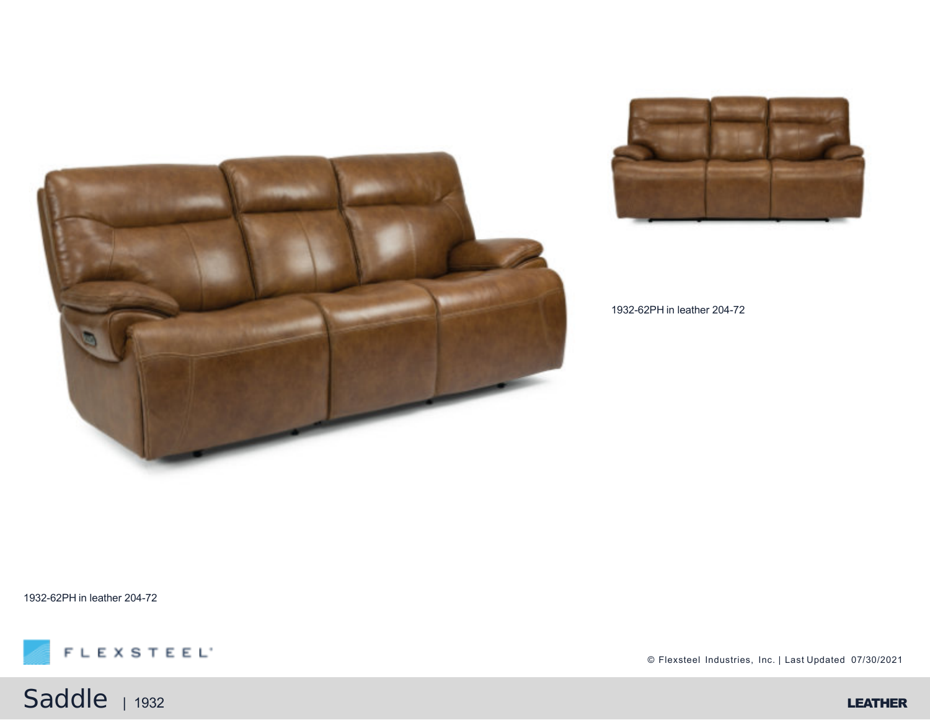



1932-62PH in leather 204-72

1932-62PH in leather 204-72



Saddle <sub>| 1932</sub> LEATHER

© Flexsteel Industries, Inc. | Last Updated 07/30/2021

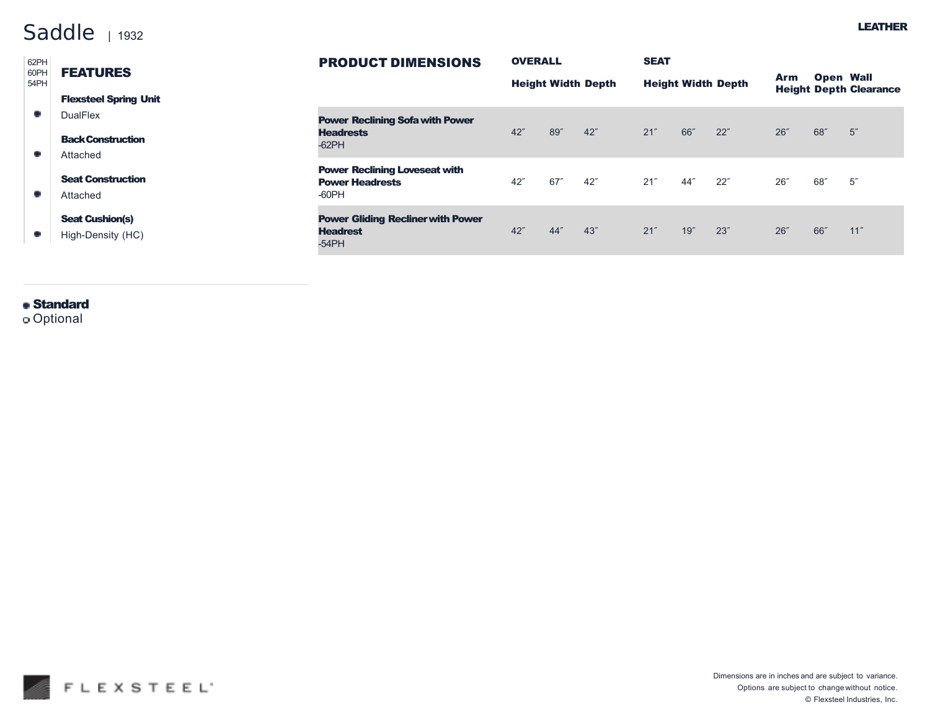## Saddle | 1932

| 62PH<br>60PH<br>54PH | <b>FEATURES</b>                             | <b>PRODUCT DIMENSIONS</b>                                               | <b>OVERALL</b><br><b>Height Width Depth</b> |     | <b>SEAT</b>               |     |      |      |                  |                               |      |
|----------------------|---------------------------------------------|-------------------------------------------------------------------------|---------------------------------------------|-----|---------------------------|-----|------|------|------------------|-------------------------------|------|
|                      |                                             |                                                                         |                                             |     | <b>Height Width Depth</b> |     |      | Arm  | <b>Open Wall</b> | <b>Height Depth Clearance</b> |      |
|                      | <b>Flexsteel Spring Unit</b>                |                                                                         |                                             |     |                           |     |      |      |                  |                               |      |
|                      | <b>DualFlex</b>                             | <b>Power Reclining Sofa with Power</b>                                  |                                             |     |                           |     |      |      |                  |                               |      |
|                      | <b>Back Construction</b>                    | <b>Headrests</b><br>$-62$ PH                                            | 42"                                         | 89" | 42''                      | 21" | 66"  | 22"  | 26''             | 68"                           | 5''  |
|                      | Attached                                    |                                                                         |                                             |     |                           |     |      |      |                  |                               |      |
|                      | <b>Seat Construction</b>                    | <b>Power Reclining Loveseat with</b><br><b>Power Headrests</b>          | 42"                                         | 67″ | 42"                       | 21" | 44″  | 22"  | 26''             | 68″                           | 5''  |
|                      | Attached                                    | $-60$ PH                                                                |                                             |     |                           |     |      |      |                  |                               |      |
|                      | <b>Seat Cushion(s)</b><br>High-Density (HC) | <b>Power Gliding Recliner with Power</b><br><b>Headrest</b><br>$-54$ PH | 42"                                         | 44" | 43"                       | 21" | 19'' | 23'' | 26''             | 66"                           | 11'' |
|                      |                                             |                                                                         |                                             |     |                           |     |      |      |                  |                               |      |

## **Standard**

Optional